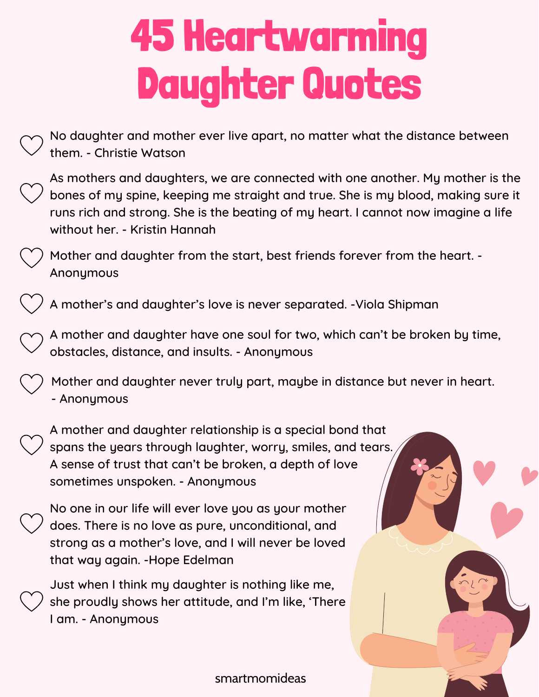No daughter and mother ever live apart, no matter what the distance between them. - Christie Watson

As mothers and daughters, we are connected with one another. My mother is the bones of my spine, keeping me straight and true. She is my blood, making sure it runs rich and strong. She is the beating of my heart. I cannot now imagine a life without her. - Kristin Hannah

Mother and daughter from the start, best friends forever from the heart. - Anonymous

A mother's and daughter's love is never separated. -Viola Shipman

A mother and daughter have one soul for two, which can't be broken by time, obstacles, distance, and insults. - Anonymous

Mother and daughter never truly part, maybe in distance but never in heart. - Anonymous

A mother and daughter relationship is a special bond that spans the years through laughter, worry, smiles, and tears. A sense of trust that can't be broken, a depth of love sometimes unspoken. - Anonymous

No one in our life will ever love you as your mother does. There is no love as pure, unconditional, and strong as a mother's love, and I will never be loved that way again. -Hope Edelman

Just when I think my daughter is nothing like me, she proudly shows her attitude, and I'm like, 'There I am. - Anonymous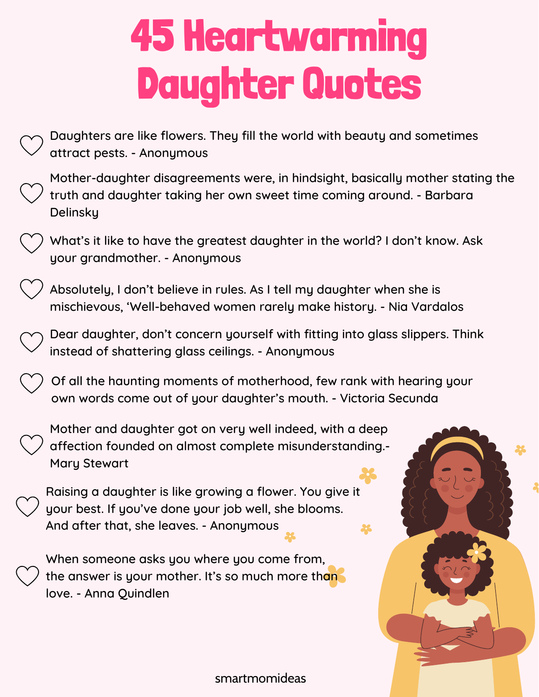Daughters are like flowers. They fill the world with beauty and sometimes attract pests. - Anonymous

Mother-daughter disagreements were, in hindsight, basically mother stating the truth and daughter taking her own sweet time coming around. - Barbara **Delinsky** 

What's it like to have the greatest daughter in the world? I don't know. Ask your grandmother. - Anonymous

Absolutely, I don't believe in rules. As I tell my daughter when she is mischievous, 'Well-behaved women rarely make history. - Nia Vardalos

Dear daughter, don't concern yourself with fitting into glass slippers. Think instead of shattering glass ceilings. - Anonymous

Of all the haunting moments of motherhood, few rank with hearing your own words come out of your daughter's mouth. - Victoria Secunda

Mother and daughter got on very well indeed, with a deep affection founded on almost complete misunderstanding.- Mary Stewart

Raising a daughter is like growing a flower. You give it your best. If you've done your job well, she blooms. And after that, she leaves. - Anonymous

When someone asks you where you come from, the answer is your mother. It's so much more than love. - Anna Quindlen

smartmomideas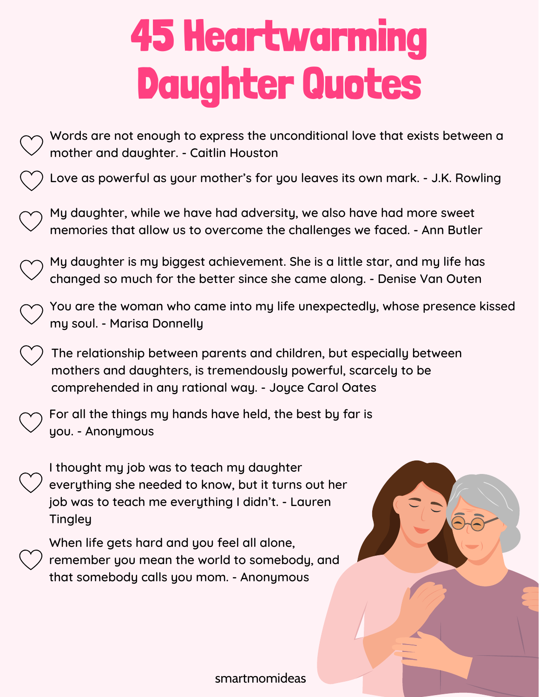- Words are not enough to express the unconditional love that exists between a mother and daughter. - Caitlin Houston
	- Love as powerful as your mother's for you leaves its own mark. J.K. Rowling
	- My daughter, while we have had adversity, we also have had more sweet memories that allow us to overcome the challenges we faced. - Ann Butler
- My daughter is my biggest achievement. She is a little star, and my life has changed so much for the better since she came along. - Denise Van Outen
- You are the woman who came into my life unexpectedly, whose presence kissed my soul. - Marisa Donnelly
	- The relationship between parents and children, but especially between mothers and daughters, is tremendously powerful, scarcely to be comprehended in any rational way. - Joyce Carol Oates
- For all the things my hands have held, the best by far is you. - Anonymous
	- I thought my job was to teach my daughter everything she needed to know, but it turns out her job was to teach me everything I didn't. - Lauren **Tingley**
	- When life gets hard and you feel all alone, remember you mean the world to somebody, and that somebody calls you mom. - Anonymous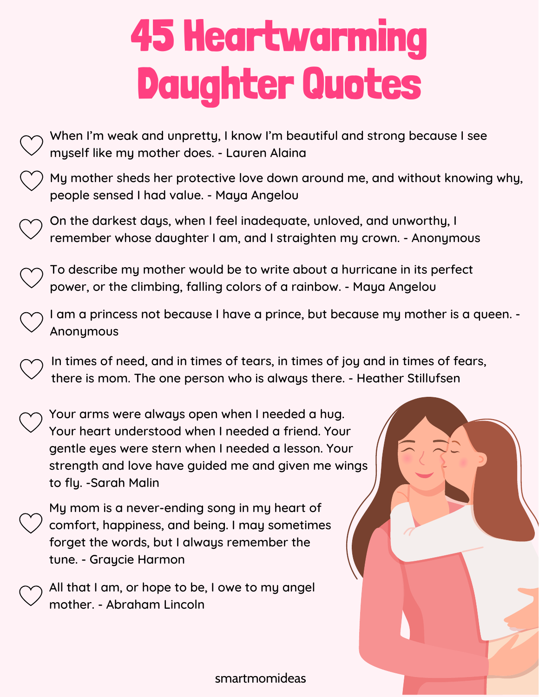- When I'm weak and unpretty, I know I'm beautiful and strong because I see myself like my mother does. - Lauren Alaina My mother sheds her protective love down around me, and without knowing why, people sensed I had value. - Maya Angelou On the darkest days, when I feel inadequate, unloved, and unworthy, I remember whose daughter I am, and I straighten my crown. - Anonymous To describe my mother would be to write about a hurricane in its perfect power, or the climbing, falling colors of a rainbow. - Maya Angelou I am a princess not because I have a prince, but because my mother is a queen. - Anonymous In times of need, and in times of tears, in times of joy and in times of fears, there is mom. The one person who is always there. - Heather Stillufsen Your arms were always open when I needed a hug. Your heart understood when I needed a friend. Your gentle eyes were stern when I needed a lesson. Your strength and love have guided me and given me wings to fly. -Sarah Malin My mom is a never-ending song in my heart of comfort, happiness, and being. I may sometimes forget the words, but I always remember the tune. - Graycie Harmon
	- All that I am, or hope to be, I owe to my angel mother. - Abraham Lincoln